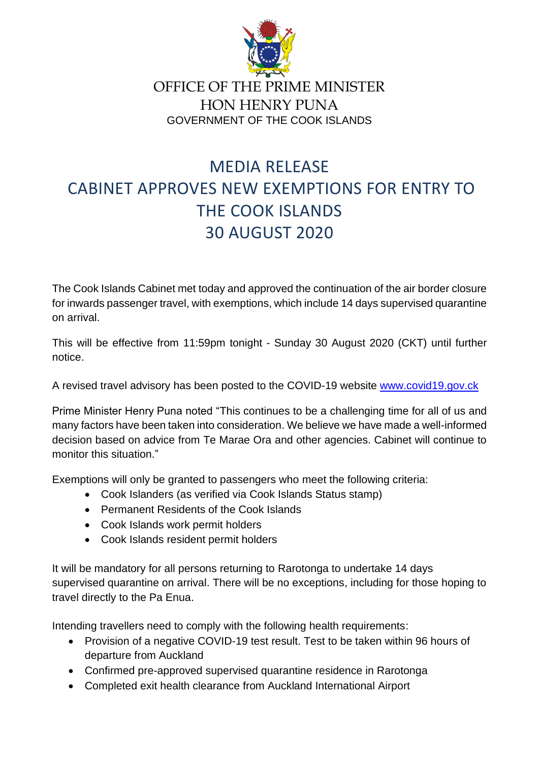

OFFICE OF THE PRIME MINISTER HON HENRY PUNA GOVERNMENT OF THE COOK ISLANDS

## MEDIA RELEASE CABINET APPROVES NEW EXEMPTIONS FOR ENTRY TO THE COOK ISLANDS 30 AUGUST 2020

The Cook Islands Cabinet met today and approved the continuation of the air border closure for inwards passenger travel, with exemptions, which include 14 days supervised quarantine on arrival.

This will be effective from 11:59pm tonight - Sunday 30 August 2020 (CKT) until further notice.

A revised travel advisory has been posted to the COVID-19 website [www.covid19.gov.ck](http://www.covid19.gov.ck/)

Prime Minister Henry Puna noted "This continues to be a challenging time for all of us and many factors have been taken into consideration. We believe we have made a well-informed decision based on advice from Te Marae Ora and other agencies. Cabinet will continue to monitor this situation."

Exemptions will only be granted to passengers who meet the following criteria:

- Cook Islanders (as verified via Cook Islands Status stamp)
- Permanent Residents of the Cook Islands
- Cook Islands work permit holders
- Cook Islands resident permit holders

It will be mandatory for all persons returning to Rarotonga to undertake 14 days supervised quarantine on arrival. There will be no exceptions, including for those hoping to travel directly to the Pa Enua.

Intending travellers need to comply with the following health requirements:

- Provision of a negative COVID-19 test result. Test to be taken within 96 hours of departure from Auckland
- Confirmed pre-approved supervised quarantine residence in Rarotonga
- Completed exit health clearance from Auckland International Airport